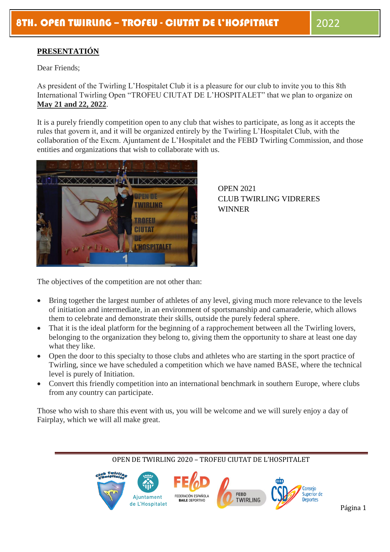# **PRESENTATIÓN**

Dear Friends;

As president of the Twirling L'Hospitalet Club it is a pleasure for our club to invite you to this 8th International Twirling Open "TROFEU CIUTAT DE L'HOSPITALET" that we plan to organize on **May 21 and 22, 2022**.

It is a purely friendly competition open to any club that wishes to participate, as long as it accepts the rules that govern it, and it will be organized entirely by the Twirling L'Hospitalet Club, with the collaboration of the Excm. Ajuntament de L'Hospitalet and the FEBD Twirling Commission, and those entities and organizations that wish to collaborate with us.



OPEN 2021 CLUB TWIRLING VIDRERES WINNER

The objectives of the competition are not other than:

- Bring together the largest number of athletes of any level, giving much more relevance to the levels of initiation and intermediate, in an environment of sportsmanship and camaraderie, which allows them to celebrate and demonstrate their skills, outside the purely federal sphere.
- That it is the ideal platform for the beginning of a rapprochement between all the Twirling lovers, belonging to the organization they belong to, giving them the opportunity to share at least one day what they like.
- Open the door to this specialty to those clubs and athletes who are starting in the sport practice of Twirling, since we have scheduled a competition which we have named BASE, where the technical level is purely of Initiation.
- Convert this friendly competition into an international benchmark in southern Europe, where clubs from any country can participate.

Those who wish to share this event with us, you will be welcome and we will surely enjoy a day of Fairplay, which we will all make great.

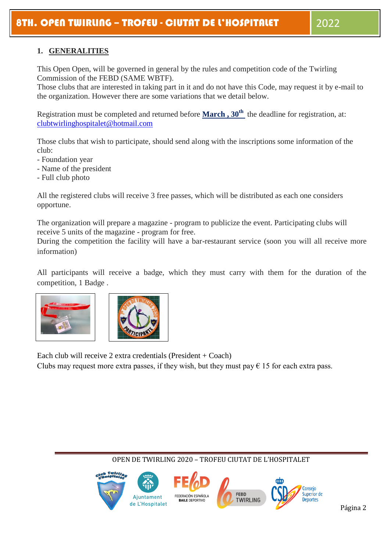# **1. GENERALITIES**

This Open Open, will be governed in general by the rules and competition code of the Twirling Commission of the FEBD (SAME WBTF).

Those clubs that are interested in taking part in it and do not have this Code, may request it by e-mail to the organization. However there are some variations that we detail below.

Registration must be completed and returned before **March , 30th** the deadline for registration, at: [clubtwirlinghospitalet@hotmail.com](mailto:clubtwirlinghospitalet@hotmail.com)

Those clubs that wish to participate, should send along with the inscriptions some information of the club:

- Foundation year
- Name of the president
- Full club photo

All the registered clubs will receive 3 free passes, which will be distributed as each one considers opportune.

The organization will prepare a magazine - program to publicize the event. Participating clubs will receive 5 units of the magazine - program for free.

During the competition the facility will have a bar-restaurant service (soon you will all receive more information)

All participants will receive a badge, which they must carry with them for the duration of the competition, 1 Badge .



Each club will receive 2 extra credentials (President + Coach) Clubs may request more extra passes, if they wish, but they must pay  $\epsilon$  15 for each extra pass.

#### Conseio Superior de FEBD FEDERACIÓN ESPAÑOLA Ajuntament **TWIRLING Deportes** BAILE DEPORTIVE Página 2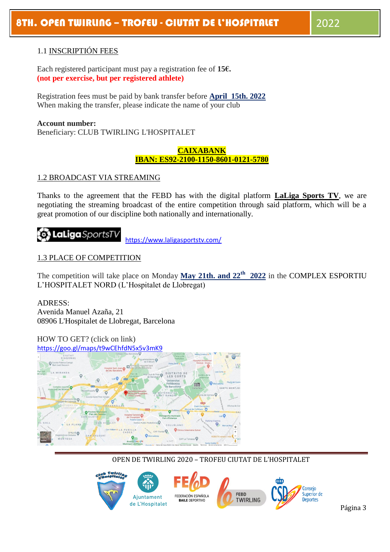#### 1.1 INSCRIPTIÓN FEES

Each registered participant must pay a registration fee of **15€. (not per exercise, but per registered athlete)**

Registration fees must be paid by bank transfer before **April 15th. 2022** When making the transfer, please indicate the name of your club

#### **Account number:**

Beneficiary: CLUB TWIRLING L'HOSPITALET

#### **CAIXABANK IBAN: ES92-2100-1150-8601-0121-5780**

#### 1.2 BROADCAST VIA STREAMING

Thanks to the agreement that the FEBD has with the digital platform **LaLiga Sports TV**, we are negotiating the streaming broadcast of the entire competition through said platform, which will be a great promotion of our discipline both nationally and internationally.

# **Con LaLiaa** SportsT

<https://www.laligasportstv.com/>

#### 1.3 PLACE OF COMPETITION

The competition will take place on Monday **May 21th. and 22th 2022** in the COMPLEX ESPORTIU L'HOSPITALET NORD (L'Hospitalet de Llobregat)

ADRESS: Avenida Manuel Azaña, 21 08906 L'Hospitalet de Llobregat, Barcelona

HOW TO GET? (click on link)



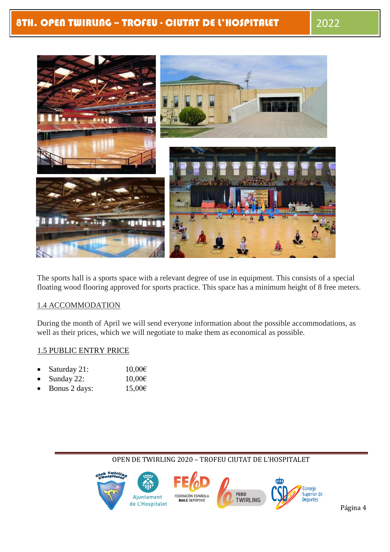

The sports hall is a sports space with a relevant degree of use in equipment. This consists of a special floating wood flooring approved for sports practice. This space has a minimum height of 8 free meters.

#### 1.4 ACCOMMODATION

During the month of April we will send everyone information about the possible accommodations, as well as their prices, which we will negotiate to make them as economical as possible.

#### 1.5 PUBLIC ENTRY PRICE

- Saturday 21:  $10,00 \in$
- Sunday 22:  $10,00 \in$
- Bonus 2 days:  $15,00 \in$

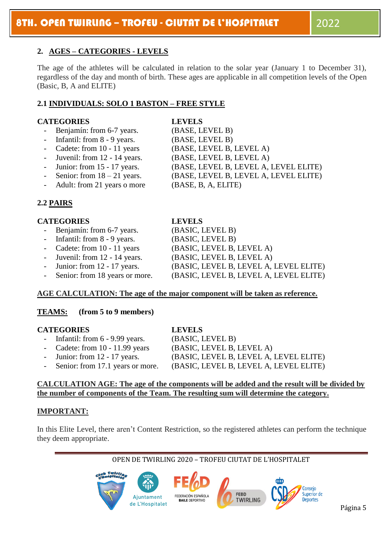## **2. AGES – CATEGORIES - LEVELS**

The age of the athletes will be calculated in relation to the solar year (January 1 to December 31), regardless of the day and month of birth. These ages are applicable in all competition levels of the Open (Basic, B, A and ELITE)

### **2.1 INDIVIDUALS: SOLO 1 BASTON – FREE STYLE**

#### **CATEGORIES LEVELS**

- Benjamín: from 6-7 years.
- Infantil: from  $8 9$  years.
- Cadete: from  $10 11$  years
- Juvenil: from  $12 14$  years.
- Junior: from  $15 17$  years.
- Senior: from  $18 21$  years.
- Adult: from 21 years o more

# **2.2 PAIRS**

#### **CATEGORIES LEVELS**

- Benjamín: from 6-7 years. (BASIC, LEVEL B)
- Infantil: from 8 9 years. (BASIC, LEVEL B)
- Cadete: from 10 11 years (BASIC, LEVEL B, LEVEL A)
- 
- 
- 

#### **AGE CALCULATION: The age of the major component will be taken as reference.**

#### **TEAMS: (from 5 to 9 members)**

#### **CATEGORIES LEVELS**

- 
- Infantil: from 6 9.99 years. (BASIC, LEVEL B)
- 
- 
- Cadete: from 10 11.99 years (BASIC, LEVEL B, LEVEL A) Junior: from 12 - 17 years. (BASIC, LEVEL B, LEVEL A, LEVEL ELITE) Senior: from 17.1 years or more. (BASIC, LEVEL B, LEVEL A, LEVEL ELITE)
- 

# **CALCULATION AGE: The age of the components will be added and the result will be divided by the number of components of the Team. The resulting sum will determine the category.**

# **IMPORTANT:**

In this Elite Level, there aren't Content Restriction, so the registered athletes can perform the technique they deem appropriate.

OPEN DE TWIRLING 2020 – TROFEU CIUTAT DE L'HOSPITALET



Juvenil: from 12 - 14 years. (BASIC, LEVEL B, LEVEL A) Junior: from 12 - 17 years. (BASIC, LEVEL B, LEVEL A, LEVEL ELITE) Senior: from 18 years or more. (BASIC, LEVEL B, LEVEL A, LEVEL ELITE)

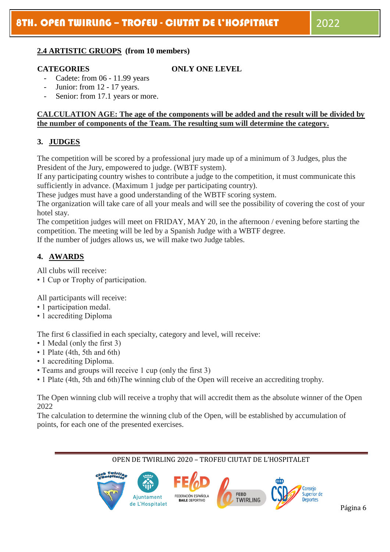#### **2.4 ARTISTIC GRUOPS (from 10 members)**

#### **CATEGORIES ONLY ONE LEVEL**

- Cadete: from 06 11.99 years
- Junior: from 12 17 years.
- Senior: from 17.1 years or more.

#### **CALCULATION AGE: The age of the components will be added and the result will be divided by the number of components of the Team. The resulting sum will determine the category.**

# **3. JUDGES**

The competition will be scored by a professional jury made up of a minimum of 3 Judges, plus the President of the Jury, empowered to judge. (WBTF system).

If any participating country wishes to contribute a judge to the competition, it must communicate this sufficiently in advance. (Maximum 1 judge per participating country).

These judges must have a good understanding of the WBTF scoring system.

The organization will take care of all your meals and will see the possibility of covering the cost of your hotel stay.

The competition judges will meet on FRIDAY, MAY 20, in the afternoon / evening before starting the competition. The meeting will be led by a Spanish Judge with a WBTF degree.

If the number of judges allows us, we will make two Judge tables.

#### **4. AWARDS**

All clubs will receive:

• 1 Cup or Trophy of participation.

All participants will receive:

- 1 participation medal.
- 1 accrediting Diploma

The first 6 classified in each specialty, category and level, will receive:

- 1 Medal (only the first 3)
- 1 Plate (4th, 5th and 6th)
- 1 accrediting Diploma.
- Teams and groups will receive 1 cup (only the first 3)
- 1 Plate (4th, 5th and 6th)The winning club of the Open will receive an accrediting trophy.

The Open winning club will receive a trophy that will accredit them as the absolute winner of the Open 2022

The calculation to determine the winning club of the Open, will be established by accumulation of points, for each one of the presented exercises.

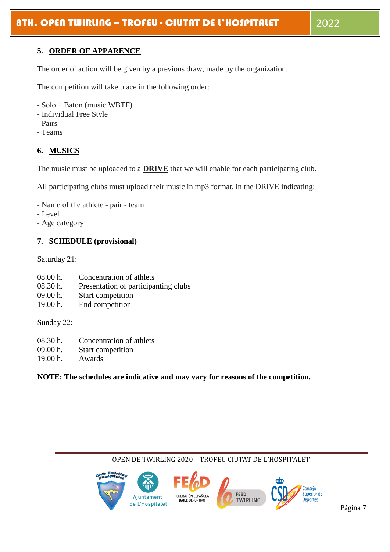## **5. ORDER OF APPARENCE**

The order of action will be given by a previous draw, made by the organization.

The competition will take place in the following order:

- Solo 1 Baton (music WBTF)
- Individual Free Style
- Pairs
- Teams

# **6. MUSICS**

The music must be uploaded to a **DRIVE** that we will enable for each participating club.

All participating clubs must upload their music in mp3 format, in the DRIVE indicating:

- Name of the athlete pair team
- Level
- Age category

#### **7. SCHEDULE (provisional)**

Saturday 21:

- 08.00 h. Concentration of athlets
- 08.30 h. Presentation of participanting clubs
- 09.00 h. Start competition
- 19.00 h. End competition

Sunday 22:

- 08.30 h. Concentration of athlets
- 09.00 h. Start competition
- 19.00 h. Awards

**NOTE: The schedules are indicative and may vary for reasons of the competition.**

#### OPEN DE TWIRLING 2020 – TROFEU CIUTAT DE L'HOSPITALET ന്ന Consejo Superior de FEBD FEDERACIÓN ESPAÑOLA Ajuntament **TWIRLING BAILE DEPORTIVO Deportes** Página 7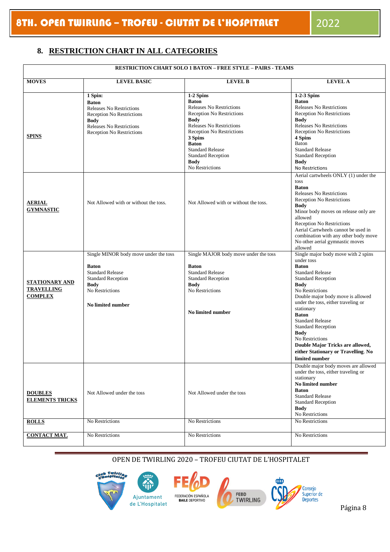# **8. RESTRICTION CHART IN ALL CATEGORIES**

| <b>RESTRICTION CHART SOLO 1 BATON – FREE STYLE – PAIRS - TEAMS</b> |                                                                                                                                                                                      |                                                                                                                                                                                                                                                                                        |                                                                                                                                                                                                                                                                                                                                                                                                                                                              |  |  |  |  |  |  |
|--------------------------------------------------------------------|--------------------------------------------------------------------------------------------------------------------------------------------------------------------------------------|----------------------------------------------------------------------------------------------------------------------------------------------------------------------------------------------------------------------------------------------------------------------------------------|--------------------------------------------------------------------------------------------------------------------------------------------------------------------------------------------------------------------------------------------------------------------------------------------------------------------------------------------------------------------------------------------------------------------------------------------------------------|--|--|--|--|--|--|
| <b>MOVES</b>                                                       | <b>LEVEL BASIC</b>                                                                                                                                                                   | <b>LEVEL B</b>                                                                                                                                                                                                                                                                         | <b>LEVEL A</b>                                                                                                                                                                                                                                                                                                                                                                                                                                               |  |  |  |  |  |  |
| <b>SPINS</b>                                                       | 1 Spin:<br><b>Baton</b><br><b>Releases No Restrictions</b><br><b>Reception No Restrictions</b><br><b>Body</b><br><b>Releases No Restrictions</b><br><b>Reception No Restrictions</b> | 1-2 Spins<br><b>Baton</b><br><b>Releases No Restrictions</b><br>Reception No Restrictions<br><b>Body</b><br>Releases No Restrictions<br>Reception No Restrictions<br>3 Spins<br><b>Baton</b><br><b>Standard Release</b><br><b>Standard Reception</b><br><b>Body</b><br>No Restrictions | 1-2-3 Spins<br><b>Baton</b><br><b>Releases No Restrictions</b><br><b>Reception No Restrictions</b><br><b>Body</b><br>Releases No Restrictions<br>Reception No Restrictions<br>4 Spins<br>Baton<br><b>Standard Release</b><br><b>Standard Reception</b><br><b>Body</b><br>No Restrictions                                                                                                                                                                     |  |  |  |  |  |  |
| <b>AERIAL</b><br><b>GYMNASTIC</b>                                  | Not Allowed with or without the toss.                                                                                                                                                | Not Allowed with or without the toss.                                                                                                                                                                                                                                                  | Aerial cartwheels ONLY (1) under the<br>toss<br><b>Baton</b><br><b>Releases No Restrictions</b><br>Reception No Restrictions<br><b>Body</b><br>Minor body moves on release only are<br>allowed<br>Reception No Restrictions<br>Aerial Cartwheels cannot be used in<br>combination with any other body move<br>No other aerial gymnastic moves<br>allowed                                                                                                     |  |  |  |  |  |  |
| <b>STATIONARY AND</b><br><b>TRAVELLING</b><br><b>COMPLEX</b>       | Single MINOR body move under the toss<br><b>Baton</b><br><b>Standard Release</b><br><b>Standard Reception</b><br><b>Body</b><br>No Restrictions<br>No limited number                 | Single MAJOR body move under the toss<br><b>Baton</b><br><b>Standard Release</b><br><b>Standard Reception</b><br><b>Body</b><br>No Restrictions<br>No limited number                                                                                                                   | Single major body move with 2 spins<br>under toss<br><b>Baton</b><br><b>Standard Release</b><br><b>Standard Reception</b><br><b>Body</b><br>No Restrictions<br>Double major body move is allowed<br>under the toss, either traveling or<br>stationary<br><b>Baton</b><br><b>Standard Release</b><br><b>Standard Reception</b><br><b>Body</b><br>No Restrictions<br>Double Major Tricks are allowed,<br>either Stationary or Travelling. No<br>limited number |  |  |  |  |  |  |
| <b>DOUBLES</b><br><b>ELEMENTS TRICKS</b>                           | Not Allowed under the toss<br>No Restrictions                                                                                                                                        | Not Allowed under the toss                                                                                                                                                                                                                                                             | Double major body moves are allowed<br>under the toss, either traveling or<br>stationary<br>No limited number<br><b>Baton</b><br><b>Standard Release</b><br><b>Standard Reception</b><br><b>Body</b><br>No Restrictions<br>No Restrictions                                                                                                                                                                                                                   |  |  |  |  |  |  |
| <b>ROLLS</b>                                                       |                                                                                                                                                                                      | No Restrictions                                                                                                                                                                                                                                                                        |                                                                                                                                                                                                                                                                                                                                                                                                                                                              |  |  |  |  |  |  |
| <b>CONTACT MAT.</b>                                                | No Restrictions                                                                                                                                                                      | No Restrictions                                                                                                                                                                                                                                                                        | No Restrictions                                                                                                                                                                                                                                                                                                                                                                                                                                              |  |  |  |  |  |  |





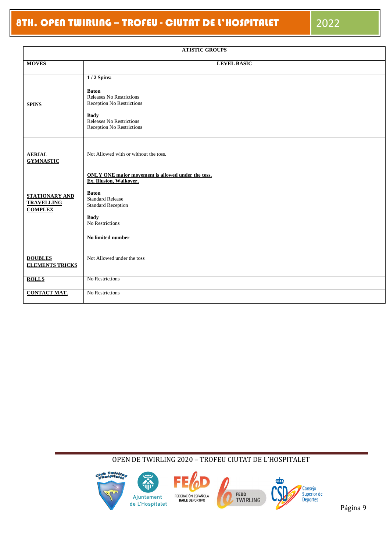| <b>ATISTIC GROUPS</b>                                 |                                                                                                                                                                                                              |  |  |  |  |  |
|-------------------------------------------------------|--------------------------------------------------------------------------------------------------------------------------------------------------------------------------------------------------------------|--|--|--|--|--|
| <b>MOVES</b>                                          | <b>LEVEL BASIC</b>                                                                                                                                                                                           |  |  |  |  |  |
| <b>SPINS</b>                                          | $1/2$ Spins:<br><b>Baton</b><br><b>Releases No Restrictions</b><br>Reception No Restrictions<br><b>Body</b><br>Releases No Restrictions<br>Reception No Restrictions                                         |  |  |  |  |  |
| <b>AERIAL</b><br><b>GYMNASTIC</b>                     | Not Allowed with or without the toss.                                                                                                                                                                        |  |  |  |  |  |
| STATIONARY AND<br><b>TRAVELLING</b><br><b>COMPLEX</b> | ONLY ONE major movement is allowed under the toss.<br>Ex. Illusion, Walkover,<br><b>Baton</b><br><b>Standard Release</b><br><b>Standard Reception</b><br><b>Body</b><br>No Restrictions<br>No limited number |  |  |  |  |  |
| <b>DOUBLES</b><br><b>ELEMENTS TRICKS</b>              | Not Allowed under the toss                                                                                                                                                                                   |  |  |  |  |  |
| <b>ROLLS</b>                                          | No Restrictions                                                                                                                                                                                              |  |  |  |  |  |
| <b>CONTACT MAT.</b>                                   | No Restrictions                                                                                                                                                                                              |  |  |  |  |  |

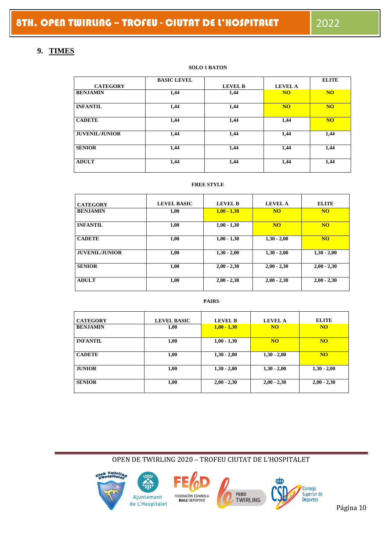# **9. TIMES**

#### **SOLO 1 BATON**

|                       | <b>BASIC LEVEL</b> |                |                | <b>ELITE</b> |
|-----------------------|--------------------|----------------|----------------|--------------|
| <b>CATEGORY</b>       |                    | <b>LEVEL B</b> | <b>LEVEL A</b> |              |
| <b>BENJAMIN</b>       | 1,44               | 1,44           | <b>NO</b>      | <b>NO</b>    |
| <b>INFANTIL</b>       | 1,44               | 1,44           | <b>NO</b>      | <b>NO</b>    |
| <b>CADETE</b>         | 1,44               | 1,44           | 1,44           | <b>NO</b>    |
| <b>JUVENIL/JUNIOR</b> | 1,44               | 1,44           | 1,44           | 1,44         |
| <b>SENIOR</b>         | 1,44               | 1,44           | 1,44           | 1,44         |
| <b>ADULT</b>          | 1,44               | 1,44           | 1,44           | 1,44         |

#### **FREE STYLE**

| <b>CATEGORY</b>       | <b>LEVEL BASIC</b> | <b>LEVEL B</b> | LEVEL A       | <b>ELITE</b>   |
|-----------------------|--------------------|----------------|---------------|----------------|
| <b>BENJAMIN</b>       | 1,00               | $1,00 - 1,30$  | <b>NO</b>     | <b>NO</b>      |
| <b>INFANTIL</b>       | 1,00               | $1,00 - 1,30$  | <b>NO</b>     | <b>NO</b>      |
| <b>CADETE</b>         | 1,00               | $1,00 - 1,30$  | $1,30 - 2,00$ | N <sub>O</sub> |
| <b>JUVENIL/JUNIOR</b> | 1,00               | $1,30 - 2,00$  | $1,30 - 2,00$ | $1,30 - 2,00$  |
| <b>SENIOR</b>         | 1,00               | $2,00 - 2,30$  | $2,00 - 2,30$ | $2,00 - 2,30$  |
| <b>ADULT</b>          | 1,00               | $2,00 - 2,30$  | $2,00 - 2,30$ | $2,00 - 2,30$  |

#### **PAIRS**

| <b>CATEGORY</b> | <b>LEVEL BASIC</b> | <b>LEVEL B</b> | <b>LEVEL A</b> | <b>ELITE</b>  |
|-----------------|--------------------|----------------|----------------|---------------|
| <b>BENJAMIN</b> | 1,00               | $1,00 - 1,30$  | <b>NO</b>      | <b>NO</b>     |
| <b>INFANTIL</b> | 1,00               | $1,00 - 1,30$  | <b>NO</b>      | <b>NO</b>     |
| <b>CADETE</b>   | 1,00               | $1,30 - 2,00$  | $1,30 - 2,00$  | <b>NO</b>     |
| <b>JUNIOR</b>   | 1,00               | $1,30 - 2,00$  | $1,30 - 2,00$  | $1,30 - 2,00$ |
| <b>SENIOR</b>   | 1,00               | $2,00 - 2,30$  | $2,00 - 2,30$  | $2,00 - 2,30$ |

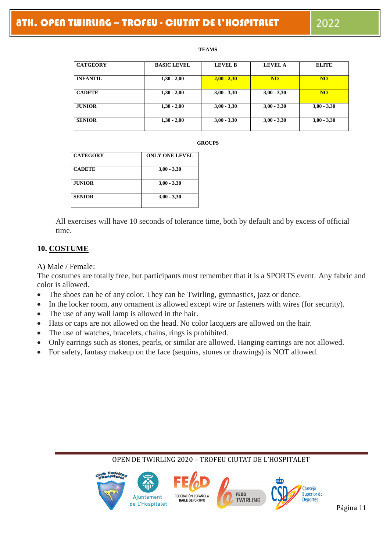#### **TEAMS**

| <b>CATGEORY</b> | <b>BASIC LEVEL</b> | <b>LEVEL B</b> | <b>LEVEL A</b> | <b>ELITE</b>  |
|-----------------|--------------------|----------------|----------------|---------------|
| <b>INFANTIL</b> | $1,30 - 2,00$      | $2,00 - 2,30$  | <b>NO</b>      | <b>NO</b>     |
| <b>CADETE</b>   | $1,30 - 2,00$      | $3,00 - 3,30$  | $3,00 - 3,30$  | <b>NO</b>     |
| <b>JUNIOR</b>   | $1,30 - 2,00$      | $3,00 - 3,30$  | $3,00 - 3,30$  | $3,00 - 3,30$ |
| <b>SENIOR</b>   | $1,30 - 2,00$      | $3,00 - 3,30$  | $3,00 - 3,30$  | $3,00 - 3,30$ |

#### **GROUPS**

| $3,00 - 3,30$ |
|---------------|
| $3,00 - 3,30$ |
| $3,00 - 3,30$ |
|               |

All exercises will have 10 seconds of tolerance time, both by default and by excess of official time.

#### **10. COSTUME**

#### A) Male / Female:

The costumes are totally free, but participants must remember that it is a SPORTS event. Any fabric and color is allowed.

- The shoes can be of any color. They can be Twirling, gymnastics, jazz or dance.
- In the locker room, any ornament is allowed except wire or fasteners with wires (for security).
- The use of any wall lamp is allowed in the hair.
- Hats or caps are not allowed on the head. No color lacquers are allowed on the hair.
- The use of watches, bracelets, chains, rings is prohibited.
- Only earrings such as stones, pearls, or similar are allowed. Hanging earrings are not allowed.
- For safety, fantasy makeup on the face (sequins, stones or drawings) is NOT allowed.

#### سبته Conseio FEBD Superior de FEDERACIÓN ESPAÑOLA Ajuntament **TWIRLING Deportes BAILE DEPORTIVO** Página 11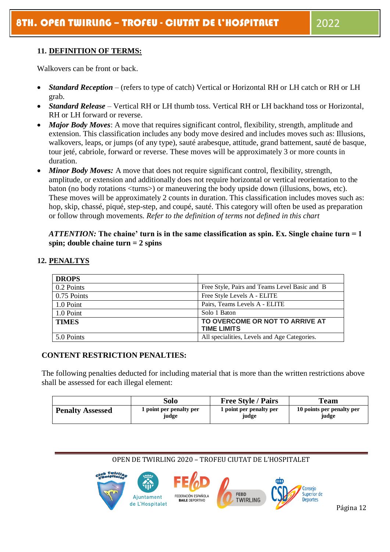#### **11. DEFINITION OF TERMS:**

Walkovers can be front or back.

- *Standard Reception*  (refers to type of catch) Vertical or Horizontal RH or LH catch or RH or LH grab.
- *Standard Release*  Vertical RH or LH thumb toss. Vertical RH or LH backhand toss or Horizontal, RH or LH forward or reverse.
- *Major Body Moves*: A move that requires significant control, flexibility, strength, amplitude and extension. This classification includes any body move desired and includes moves such as: Illusions, walkovers, leaps, or jumps (of any type), sauté arabesque, attitude, grand battement, sauté de basque, tour jeté, cabriole, forward or reverse. These moves will be approximately 3 or more counts in duration.
- *Minor Body Moves:* A move that does not require significant control, flexibility, strength, amplitude, or extension and additionally does not require horizontal or vertical reorientation to the baton (no body rotations <turns>) or maneuvering the body upside down (illusions, bows, etc). These moves will be approximately 2 counts in duration. This classification includes moves such as: hop, skip, chassé, piqué, step-step, and coupé, sauté. This category will often be used as preparation or follow through movements. *Refer to the definition of terms not defined in this chart*

#### *ATTENTION:* **The chaine' turn is in the same classification as spin. Ex. Single chaine turn = 1 spin; double chaine turn = 2 spins**

| <b>DROPS</b> |                                               |
|--------------|-----------------------------------------------|
| 0.2 Points   | Free Style, Pairs and Teams Level Basic and B |
| 0.75 Points  | Free Style Levels A - ELITE                   |
| 1.0 Point    | Pairs, Teams Levels A - ELITE                 |
| 1.0 Point    | Solo 1 Baton                                  |
| <b>TIMES</b> | TO OVERCOME OR NOT TO ARRIVE AT               |
|              | <b>TIME LIMITS</b>                            |
| 5.0 Points   | All specialities, Levels and Age Categories.  |

#### **12. PENALTYS**

#### **CONTENT RESTRICTION PENALTIES:**

The following penalties deducted for including material that is more than the written restrictions above shall be assessed for each illegal element:

|                         | Solo                    | <b>Free Style / Pairs</b> | Team                      |
|-------------------------|-------------------------|---------------------------|---------------------------|
| <b>Penalty Assessed</b> | 1 point per penalty per | 1 point per penalty per   | 10 points per penalty per |
|                         | judge                   | judge                     | judge                     |

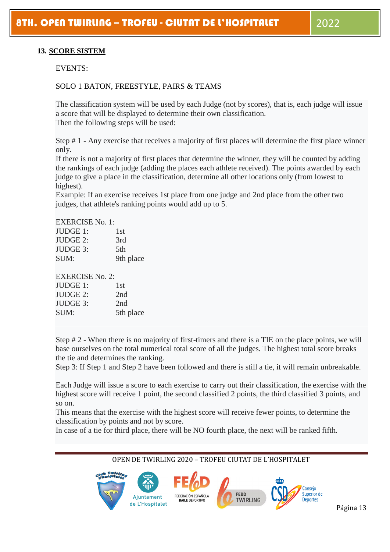#### **13. SCORE SISTEM**

EVENTS:

#### SOLO 1 BATON, FREESTYLE, PAIRS & TEAMS

The classification system will be used by each Judge (not by scores), that is, each judge will issue a score that will be displayed to determine their own classification. Then the following steps will be used:

Step # 1 - Any exercise that receives a majority of first places will determine the first place winner only.

If there is not a majority of first places that determine the winner, they will be counted by adding the rankings of each judge (adding the places each athlete received). The points awarded by each judge to give a place in the classification, determine all other locations only (from lowest to highest).

Example: If an exercise receives 1st place from one judge and 2nd place from the other two judges, that athlete's ranking points would add up to 5.

EXERCISE No. 1:

| JUDGE 1:        | 1st       |
|-----------------|-----------|
| <b>JUDGE 2:</b> | 3rd       |
| JUDGE 3:        | 5th       |
| SUM:            | 9th place |

#### EXERCISE No. 2:

| JUDGE 1:        | 1st       |
|-----------------|-----------|
| <b>JUDGE 2:</b> | 2nd       |
| <b>JUDGE 3:</b> | 2nd       |
| SUM:            | 5th place |

Step # 2 - When there is no majority of first-timers and there is a TIE on the place points, we will base ourselves on the total numerical total score of all the judges. The highest total score breaks the tie and determines the ranking.

Step 3: If Step 1 and Step 2 have been followed and there is still a tie, it will remain unbreakable.

Each Judge will issue a score to each exercise to carry out their classification, the exercise with the highest score will receive 1 point, the second classified 2 points, the third classified 3 points, and so on.

This means that the exercise with the highest score will receive fewer points, to determine the classification by points and not by score.

In case of a tie for third place, there will be NO fourth place, the next will be ranked fifth.